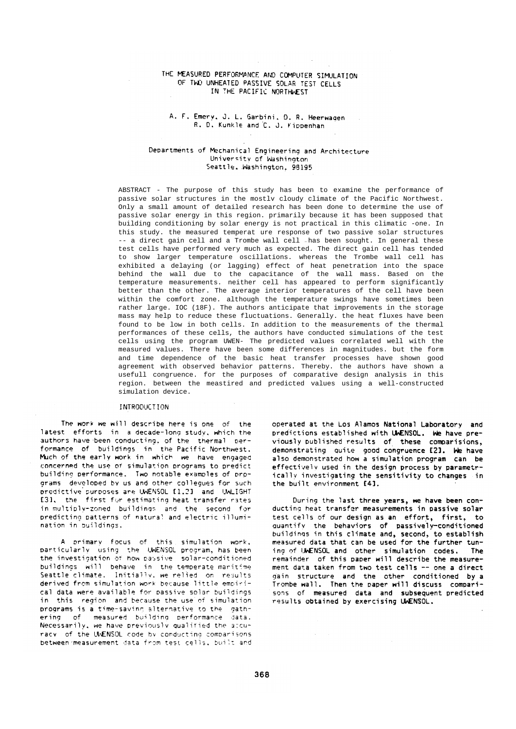## THE MEASURED PERFORMANCE AND COMPUTER SIMULATION OF TWO UNHEATED PASSIVE SOLAR TEST CELLS IN THE PACIFIC NORTHWEST

## A. F. Emery, J. L. Garbini, D. R. Heerwagen R. D. Kunkle and C. J. Kippenhan

## Departments of Mechanical Engineering and Architecture University of Washington Seattle. Washington, 98195

ABSTRACT - The purpose of this study has been to examine the performance of passive solar structures in the mostlv cloudy climate of the Pacific Northwest. Only a small amount of detailed research has been done to determine the use of passive solar energy in this region. primarily because it has been supposed that building conditioning by solar energy is not practical in this climatic -one. In this study. the measured temperat ure response of two passive solar structures -- a direct gain cell and a Trombe wall cell -has been sought. In general these test cells have performed very much as expected. The direct gain cell has tended to show larger temperature oscillations. whereas the Trombe wall cell has exhibited a delaying (or lagging) effect of heat penetration into the space behind the wall due to the capacitance of the wall mass. Based on the temperature measurements. neither cell has appeared to perform significantly better than the other. The average interior temperatures of the cell have been within the comfort zone. although the temperature swings have sometimes been rather large. IOC (18F). The authors anticipate that improvements in the storage mass may help to reduce these fluctuations. Generally. the heat fluxes have been found to be low in both cells. In addition to the measurements of the thermal performances of these cells, the authors have conducted simulations of the test cells using the program UWEN- The predicted values correlated well with the measured values. There have been some differences in magnitudes. but the form and time dependence of the basic heat transfer processes have shown good agreement with observed behavior patterns. Thereby. the authors have shown a usefull congruence. for the purposes of comparative design analysis in this region. between the meastired and predicted values using a well-constructed simulation device.

## **INTRODUCTION**

The work we will describe here is one of the latest efforts in a decade-long study, which the authors have been conducting, of the thermal performance of buildings in the Pacific Northwest. Much of the early work in which we have engaged concerned the use of simulation programs to predict building performance. Two notable examples of programs developed by us and other collegues for such predictive surposes are UWENSOL [1.2] and UWLIGHT [3]. the first for estimating heat transfer rates in multiply-zoned buildings and the second for predicting patterns of natural and electric illumination in buildings.

A primary focus of this simulation work. particularly using the UWENSOL program, has been<br>the investigation of how passive solar-conditioned buildings will behave in the temperate maritime Seattle climate. Initially, we relied on results derived from simulation work because little empirical data were available for passive solar buildings in this region and because the use of simulation programs is a time-saving alternative to the gathering of measured building performance data. Necessarily, we have previously qualified the accuracy of the UNENSOL code by conducting comparisons between measurement data from test cells. built and operated at the Los Alamos National Laboratory and predictions established with UWENSOL. We have previously published results of these comparisions. demonstrating quite good congruence [2]. We have also demonstrated how a simulation program can be effectively used in the design process by parametrically investigating the sensitivity to changes in the built environment [4].

During the last three years, we have been conducting heat transfer measurements in passive solar test cells of our design as an effort, first, to quantify the behaviors of passively-conditioned buildings in this climate and, second, to establish measured data that can be used for the further tuning of UWENSOL and other simulation codes. The remainder of this paper will describe the measurement data taken from two test cells -- one a direct gain structure and the other conditioned by a Trombe wall. Then the paper will discuss comparisons of measured data and subsequent predicted results obtained by exercising UWENSOL.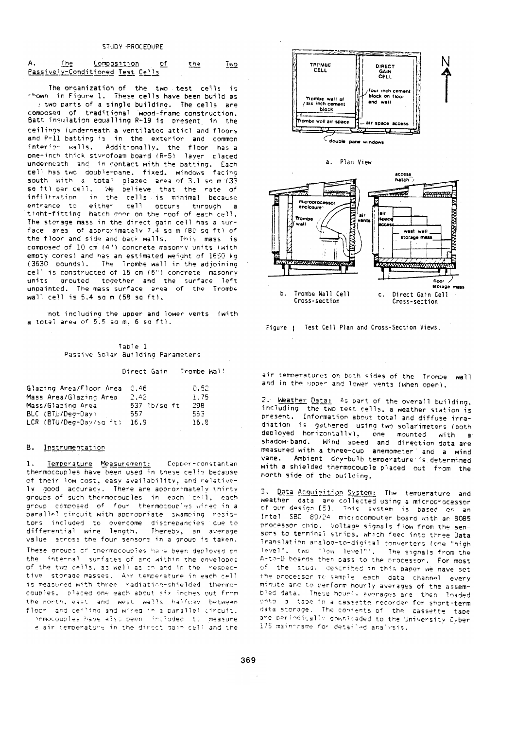| 'ne                              | Compasition |  | :ne | <b>ViC</b> |
|----------------------------------|-------------|--|-----|------------|
| Passively-Conditioned Test Cells |             |  |     |            |

The organization of the two test cells is<br>thown in Figure 1. These cells have been build as : two parts of a single building. The cells are composed of traditional wood-frame construction. Batt insulation equalling R-19 is present in the ceilings (underneath a ventilated attic) and floors and R-11 batting is in the exterior and common interior walls. Additionally, the floor has a one-inch thick styrofoam board (R-5) laver placed underneath and in contact with the batting. Each cell has two double-pane, fixed, windows facing south with a total glazed area of 3.1 sq m (33 so ft) per cell. We believe that the rate of infiltration in the cells is minimal because either cell occurs through entrance to − a tight-fitting hatch door on the roof of each cell. The storage mass in the direct gain cell has a surface area of approximately 7.4 sq m (BO sq ft) of the floor and side and back walls. This mass is composed of 10 cm (4") concrete masonry units (with emoty cores) and has an estimated weight of 1650 kg (3630 pounds). The Trombe wall in the adjoining cell is constructed of 15 cm (6") concrete masonry units arouted together and the surface left unpainted. The mass surface area of the Trombe wall cell is 5.4 sq m  $(58 \text{ sq ft})$ .

not including the upper and lower vents (with a total area of 5.5 sq m. 6 sq ft).

Table 1 Passive Solar Building Parameters

Direct Gain Trombe Wall

| Glazing Area/Floor Area | 0.46         | 0.52  |
|-------------------------|--------------|-------|
| Mass Area/Glazing Area  | 2.42         | 1.75  |
| Mass/Glazing Area       | 537 1b/sa ft | -298. |
| BLC (BTU/Deg-Dav)       | 557.         | 553.  |
| LCR (BTU/Deg-Dav/sg ft) | 16.9         | 16.8  |

#### B. Instrumentation

Temperature Measurement: Copper-constantan thermocouples have been used in these cells because of their low cost, easy availability, and relative-Iv good accuracy. There are approximately thirty groups of such thermocouples in each cell, each group composed of four thermocoucles wired in a parallel cincuit with appropriate swamping resistors included to overcome discrepancies due-to differential wire length. Thereby, an average value across the four sensors in a group is taken. These groups of thermocouples have been deployed on the internal surfaces of and within the envelopes of the two cells, as well as on and in the mespective storage masses. Air temperature in each cell is measured with three radiation-shielded thermocouples. placed one each about six inches out from the north, east and west walls halfusy between floor and ceiling and wired in a parallel circuit. nomocouples have also been included to measure

e air temperature in the direct cain cell and the



a. Plan View



Figure | Test Cell Plan and Cross-Section Views.

air temperatures on both sides of the Trombe wall and in the upper and lower vents (when open).

2. Weather Data: 45 part of the overall building. including the two test cells, a weather station is present. Information about total and diffuse irradiation is gathered using two solarimeters (both deployed horizontally), one mounted with a shadow-band. Wind speed and direction data are measured with a three-cup anemometer and a wind vane. Ambient dry-bulb temperature is determined with a shielded thermocouple placed out from the north side of the puilding.

3. Data Acquisition System: The temperature and are collected using a microprocessor weather data of our design [5]. This system is based on an Intel SBC 80/24 microcomputer board with an 8085 processor chip. Voltage signals flow from the sensors to terminal strips, which feed into three Data Translation analog-to-digital converters (one "high level", two "low level"). The signals from the A-to-D boards then pass to the processor. For most of the study described in this paper we have set the processor to sample, each, data, channel, every minute and to perform hourly averages of the assembled data. These hounts averages are then loaded onto a tabe in a cassette recorder for short-term data storage. The contents of the cassette tape are periodically downloaded to the University Cyber 175 maintrame for detailed analysis.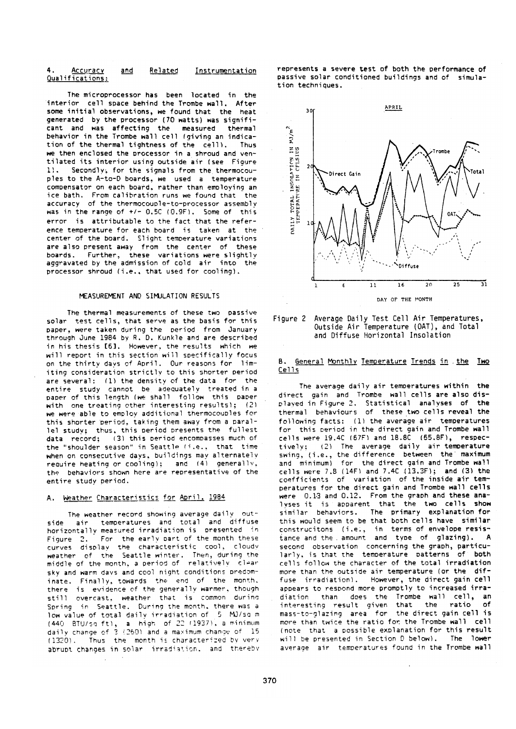#### 4. Accuracy and Related Instrumentation Qualifications:

The microprocessor has been located in the interior cell space behind the Trombe wall. After some initial observations, we found that the heat generated by the processor (70 watts) was significant and was affecting the measured thermal behavior in the Trombe wall cell (giving an indication of the thermal tightness of the cell). Thus we then enclosed the processor in a shroud and ventilated its interior using outside air (see Figure 1). Secondly, for the signals from the thermocouples to the A-to-D boards, we used a temperature compensator on each board, rather than employing an ice bath. From calibration runs we found that the accuracy of the thermocouple-to-processor assembly was in the range of  $+/$ - 0.50 (0.9F). Some of this error is attributable to the fact that the reference temperature for each board is taken at the center of the board. Slight temperature variations are also present away from the center of these boards. Further, these variations were slightly accravated by the admission of cold air into the processor shroud (i.e., that used for cooling).

## MEASUREMENT AND SIMULATION RESULTS

The thermal measurements of these two passive solar test cells, that serve as the basis for this paper, were taken during the period from January through June 1984 by R. D. Kunkle and are described in his thesis [6]. However, the results which we will report in this section will specifically focus on the thirty days of April. Our reasons for limiting consideration strictly to this shorter period are several: (1) the density of the data for the entire study cannot be adequately treated in a<br>paper of this length (we shall follow this paper with one treating other interesting results); (2) we were able to employ additional thermocouples for this shorter period, taking them away from a parallel study; thus, this period presents the fullest data record; (3) this period encompasses much of the "shoulder season" in Seattle (i.e., that time when on consecutive days, buildings may alternately require heating or cooling): and (4) generally, the behaviors shown here are representative of the entire study period.

# A. Weather Characteristics for April. 1984

The weather record showing average daily outside air temperatures and total and diffuse horizontally measured irradiation is presented in For the early part of the month these Figure 2. curves display the characteristic cool, cloudy weather of the Seattle-winter. Then, during the<br>middle-of-the-month, a period of relatively clear sky and warm days and cool night conditions predominate. Finally, towards the end of the month. there is evidence of the generally warmer, though still overcast, weather that is common during Spring in Seattle. During the month, there was a low value of total daily irradiation of 5 MJ/sq m (440 BTU/sq ft), a high of 22 (1937), a minimum daily change of 3 (260) and a maximum change of 15 (1320). Thus the month is characterized by very abrupt changes in solar irradiation, and thereby represents a severe test of both the performance of passive solar conditioned buildings and of simulation techniques.





## B. General Monthly Temperature Trends in the Two  $Ce11s$

The average daily air temperatures within the direct gain and Trombe wall cells are also displayed in Figure 2. Statistical analyses of the thermal behaviours of these two cells reveal the following facts: (1) the average air temperatures for this period in the direct gain and Trombe wall cells were 19.4C (67F) and 18.8C (65.8F), respectively; (2) The average daily air temperature swing, (i.e., the difference between the maximum and minimum) for the direct gain and Trombe wall cells were 7.8 (14F) and 7.4C (13.3F); and (3) the coefficients of variation of the inside air temperatures for the direct gain and Trombe wall cells were 0.13 and 0.12. From the graph and these analyses it is apparent that the two cells show similar behaviors. The primary explanation for this would seem to be that both cells have similar construcitons (i.e., in terms of envelope resis-<br>tance and the amount and type of glazing). A second observation concerning the graph, particularly, is that the temperature patterns of both cells follow the character of the total irradiation more than the outside air temperature (or the diffuse irradiation). However, the direct gain cell appears to respond more promptly to increased irradiation than does the Trombe wall cell, an<br>interesting result given that the ratio of mass-to-glazing area for the direct gain cell is more than twice the ratio for the Trombe wall cell (note that a possible explanation for this result will be presented in Section D below). The lower average air temperatures found in the Trombe wall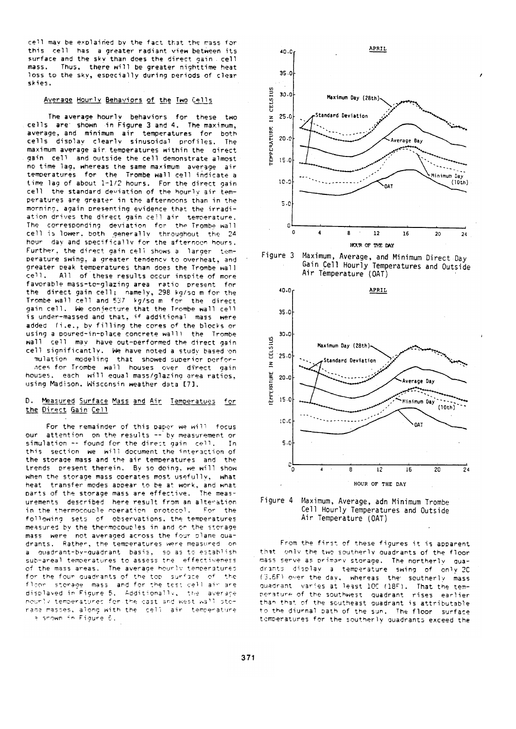cell may be explained by the fact that the mass for this cell has a greater radiant view between its surface and the sky than does the direct gain cell mass. Thus, there will be greater nighttime heat loss to the sky, especially during periods of clear skies.

## Average Hourly Behaviors of the Iwo Cells

The average hourly behaviors for these two cells are shown in Figure 3 and 4. The maximum, average, and minimum air temperatures for both cells display clearly sinusoidal profiles. The maximum average air temperatures within the girect gain cell and outside the cell demonstrate almost no time lag, whereas the same maximum average air temperatures for the Trombe wall cell indicate a time lag of about 1-1/2 hours. For the direct gain cell the standard deviation of the hourly air temperatures are greater in the afternoons than in the morning, again presenting evidence that the irradiation drives the direct gain cell air temperature. The corresponding deviation for the Trombe-wall cell is lower, both generally throughout the 24 hour day and specifically for the afternoon hours. Further, the direct gain cell shows a larger temperature swing, a greater tendency to overheat, and greater peak temperatures than does the Trombe wall cell. All of these results occur inspite of more favorable mass-to-glazing area ratio present for the direct gain cell; namely, 298 kg/sq m for the Trombe wall cell and 537 kg/sq m for the direct gain cell. We conjecture that the Trombe wall cell is under-massed and that, if additional mass were added (i.e., by filling the cores of the blocks or using a poured-in-place concrete wall) the Trombe wall cell may have out-performed the direct gain cell significantly. We have noted a study based on mulation modeling that showed superior perfor-

nces for Trombe wall houses over direct gain houses. each will equal mass/glazing area ratios. using Madison. Wisconsin weather data [7].

#### D. Measured Surface Mass and Air Temperatues for the Direct Gain Cell

For the remainder of this paper we will focus attention on the results -- by measurement or simulation -- found for the direct gain cell. **In** this section we will document the interaction of the storage mass and the air temperatures and the trends present therein. By so doing, we will show when the storage mass operates most usefully, what heat transfer modes appear to be at work, and what parts of the storage mass are effective. The measurements described here result from an alteration in the thermocouple operation protocol. For the following sets of observations, the temperatures measured by the thermocouples in and on the storage mass were not averaged across the four plane quadrants. Rather, the temperatures were measured on a quadrant-by-quadrant basis. so as to establish sub-areal temperatures to assess the effectiveness of the mass areas. The average hourly temperatures for the four quadrants of the top surface of the floor storage mass and for the test cell air are displayed in Figure 5. Additionally, the averace nourly temperatures for the cast and west wall storage masses, along with the cell air temperature a shown in Figure 6.









From the first of these figures it is apparent that only the two southerly quadrants of the floor mass serve as primary storage. The northerly quadrants display a temperature swing of only 20 (3.6F) over the day, whereas the southerly mass quadrant varies at least 100 (18F). That the temperature of the southwest quadrant rises earlier than that of the southeast quadrant is attributable to the diurnal path of the sun. The floor surface temperatures for the southerly quadrants exceed the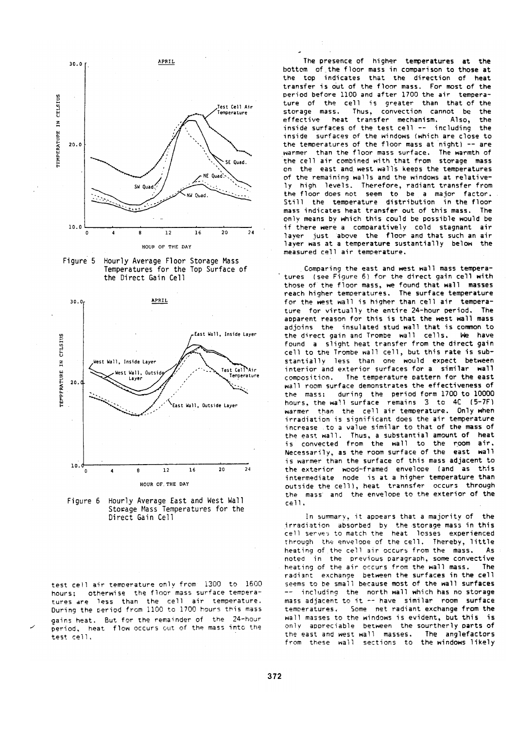





Figure 6 Hourly Average East and West Wall Storage Mass Temperatures for the Direct Gain Cell

test cell air temperature only from 1300 to 1600 hours: otherwise the floor mass surface temperatures are less than the cell air temperature. During the period from 1100 to 1700 hours this mass gains heat. But for the remainder of the 24-hour period, heat flow occurs out of the mass into the test cell.

The presence of higher temperatures at the bottom of the floor mass in comparison to those at the top indicates that the direction of heat transfer is out of the floor mass. For most of the period before 1100 and after 1700 the air temperature of the cell is greater than that of the storage mass. Thus, convection cannot be the heat transfer mechanism. Also.  $a$ ffertive the inside surfaces of the test cell -- including the inside surfaces of the windows (which are close to the temperatures of the floor mass at night)  $-$  are warmer than the floor mass surface. The warmth of the cell air combined with that from storage mass on the east and west walls keeps the temperatures of the remaining walls and the windows at relatively high levels. Therefore, radiant transfer from<br>the floor does not seem to be a major factor. Still the temperature distribution in the floor mass indicates heat transfer out of this mass. The only means by which this could be possible would be if there were a comparatively cold stagnant air laver just above the floor and that such an air laver was at a temperature sustantially below the measured cell air temperature.

Comparing the east and west wall mass temperatures (see Figure 6) for the direct gain cell with those of the floor mass, we found that wall masses reach higher temperatures. The surface temperature for the west wall is higher than cell air temperature for virtually the entire 24-hour period. The apparent reason for this is that the west wall mass adjoins the insulated stud wall that is common to the direct gain and Trombe wall cells. We have found a slight heat transfer from the direct gain cell to the Trombe wall cell, but this rate is substantially less than one would expect between interior and exterior surfaces for a similar wall The temperature pattern for the east composition. wall room surface demonstrates the effectiveness of the mass: during the period form 1700 to 10000 hours, the wall surface remains 3 to 4C (5-7F) warmer than the cell air temperature. Only when irradiation is significant does the air temperature increase to a value similar to that of the mass of the east wall. Thus, a substantial amount of heat is convected from the wall to the room air. Necessarily, as the room surface of the east wall is warmer than the surface of this mass adjacent to the exterior wood-framed envelope (and as this intermediate node is at a higher temperature than outside the cell), heat trannsfer occurs through the mass and the envelope to the exterior of the  $c$ ell.

In summary, it appears that a majority of the irradiation absorbed by the storage mass in this cell serves to match the heat losses experienced through the envelope of the cell. Thereby, little heating of the cell air occurs from the mass.  $A =$ noted in the previous paragraph, some convective heating of the air occurs from the wall mass. **The** radiant exchange between the surfaces in the cell seems to be small because most of the wall surfaces including the north wall which has no storage mass adjacent to it -- have similar room surface Some net radiant exchange from the temperatures. wall masses to the windows is evident, but this is only appreciable between the sourtherly parts of the east and west wall masses. The anglefactors from these wall sections to the windows likely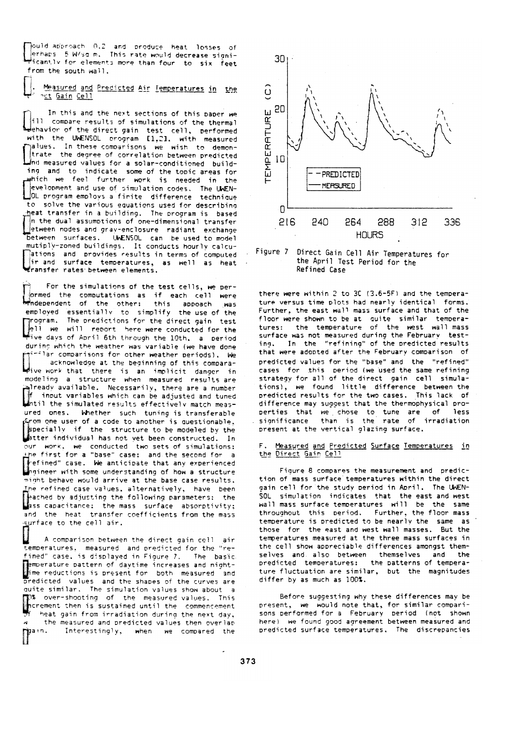pould approach 0.2 and produce heat losses of erhaps 5 W/sq m. This rate would decrease significantly for elements more than four  $\,$  to  $\,$  six  $\,$  feet  $\,$ from the south wall.

Measured and Predicted Air Temperatures in the n<u>ct</u> Gain Cell

In this and the next sections of this paper we ill compare results of simulations of the thermal ehavior of the direct gain test cell, performed with the UWENSOL program [1.2]. with measured halues. In these comparisons we wish to demontrate the degree of correlation between predicted Ind measured values for a solar-conditioned building and to indicate some of the topic areas for which we feel further work is needed in the evelopment and use of simulation codes. The UWEN-LOL program employs a finite difference technique to solve the various equations used for describing heat transfer in a building. The program is based in the dual assumptions of one-dimensional transfer etween nodes and gray-enclosure radiant exchange between sunfaces. UWENSOL can be used to model mutiply-zoned buildings. It conducts hourly calcuations and provides results in terms of computed  $\frac{4}{3}$ ir and surface temperatures, as well as heat Wransfer rates between elements.

For the simulations of the test cells, we perormed the computations as if each cell were **Hindependent** of the other: this appoach **Nas** employed essentially to simplify the use of the grogram. The predictions for the direct gain test ell we will report here were conducted for the during which the weather was variable (we have done  $\gamma$  in comparisons for other weather periods). We acknowledge at the beginning of this comparawive work that there is an implicit danger in modeling a structure when measured results are already available. Necessarily, there are a number f input variables which can be adjusted and tuned<br>whill the simulated results effectively match measured ones. Whether such tuning is transferable grom one user of a code to another is questionable. specially if the structure to be modeled by the<br>btter individual has not yet been constructed. In<br>our work, we conducted two sets of simulations: the first for a "base" case: and the second for a The fine of the case. We anticipate that any experienced<br>Ingineer with some understanding of how a structure might behave would arrive at the base case results. The refined case values, alternatively, have been **The ched by adjusting the following parameters:** the<br>Lass capacitance: the mass surface absorptivity; and the heat transfer coefficients from the mass surface to the cell air.

A comparison between the direct gain cell air temperatures, measured and predicted for the "refined" case, is displayed in Figure 7. The basic Temperature pattern of daytime increases and night-<br>Time reductions is present for both measured and predicted values and the shapes of the curves are quite similar. The simulation values show about a TO% over-shooting of the measured values. This<br>increment then is sustained until the commencement heat gain from irradiation during the next day, the measured and predicted values then overlap Ñ  $\mathbf{P}^{\mathsf{a} \, \mathsf{in}}$ . Interestingly, when we compared the



Figure 7 Direct Gain Cell Air Temperatures for the April Test Period for the Refined Case

there were within 2 to 3C (3.6-5F) and the temperature versus time plots had nearly identical forms. Further, the east wall mass surface and that of the floor were shown to be at quite similar temperatures: the temperature of the west wall mass surface was not measured during the February testing. In the "refining" of the predicted results that were adopted after the February comparison of predicted values for the "base" and the "refined" cases for this period (we used the same refining strategy for all of the direct gain cell simulations). we found little difference between the predicted results for the two cases. This lack of difference may suggest that the thermophysical properties that we chose to tune are of less significance than is the rate of irradiation present at the vertical glazing surface.

F. Measured and Predicted Surface Temperatures in the Direct Gain Cell

Figure 8 compares the measurement and prediction of mass surface temperatures within the direct gain cell for the study period in April. The UWEN-SOL simulation indicates that the east and west wall mass surface temperatures will be the same throughout this period. Further, the floor mass temperature is predicted to be nearly the same as those for the east and west wall masses. But the temperatures measured at the three mass surfaces in the cell show appreciable differences amongst themselves and also between themselves and the predicted temperatures: the patterns of temperature fluctuation are similar, but the magnitudes differ by as much as 100%.

Before suggesting why these differences may be present, we would note that, for similar comparisons performed for a February period (not shown here) we found good agreement between measured and predicted surface temperatures. The discrepancies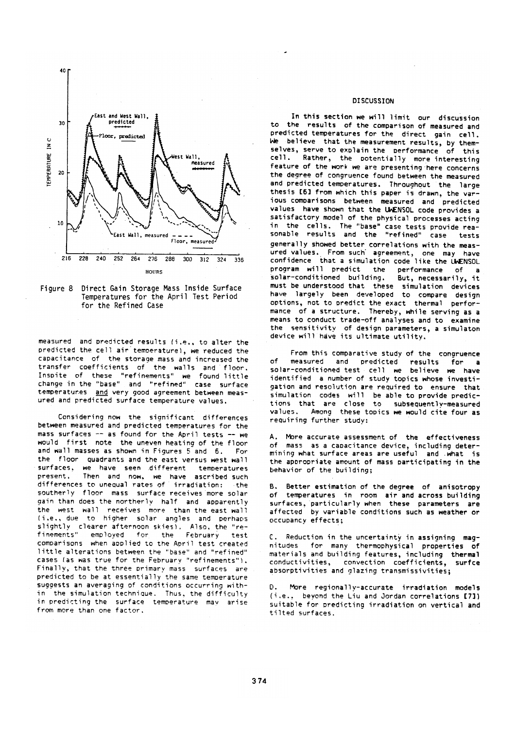

Figure 8 Direct Gain Storage Mass Inside Surface Temperatures for the April Test Period for the Refined Case

measured and predicted results (i.e., to alter the predicted the cell air temperature), we reduced the capacitance of the storage mass and increased the transfer coefficients of the walls and floor. Inspite of these "refinements" we found little change in the "base" and "refined" case surface temperatures and very good agreement between measured and predicted surface temperature values.

Considering now the significant differences between measured and predicted temperatures for the mass surfaces -- as found for the April tests -- we would first note the uneven heating of the floor and wall masses as shown in Figures 5 and 6. Eor the floor quadrants and the east versus west wall surfaces, we have seen different temperatures present. Then and now, we have ascribed such differences to unequal rates of irradiation: the southerly floor mass surface receives more solar gain than does the northerly half and apparently the west wall receives more than the east wall (i.e., due to higher solar angles and perhans slightly clearer afternoon skies). Also, the "refinements" employed for the February test comparisons when applied to the April test created little alterations between the "base" and "refined" cases (as was true for the February "refinements"). Finally, that the three primary mass surfaces are predicted to be at essentially the same temperature suggests an averaging of conditions occurring within the simulation technique. Thus, the difficulty in predicting the surface temperature may arise from more than one factor.

## **DISCUSSION**

In this section we will limit our discussion to the results of the comparison of measured and predicted temperatures for the direct gain cell. We believe that the measurement results, by themselves, serve to explain the performance of this cell. Rather, the potentially more interesting feature of the work we are presenting here concerns the degree of congruence found between the measured and predicted temperatures. Throughout the large thesis [6] from which this paper is drawn, the various comparisons between measured and predicted values have shown that the UWENSOL code provides a satisfactory model of the physical processes acting in the cells. The "base" case tests provide rea-<br>sonable results and the "refined" case tests generally showed better correlations with the meas-<br>ured values. From such agreement, one may have<br>confidence that a simulation code like the UNENSOL program will predict the performance of a But, necessarily, it solar-conditioned building. must be understood that these simulation devices have largely been developed to compare design options, not to predict the exact thermal performance of a structure. Thereby, while serving as a means to conduct trade-off analyses and to examine the sensitivity of design parameters, a simulaton<br>device will have its ultimate utility.

From this comparative study of the congruence and predicted results for of measured a a solar-conditioned test cell we believe we have identified a number of study topics whose investigation and resolution are required to ensure that simulation codes will be able to provide predic-<br>tions that are close to subsequently-measured values. Among these topics we would cite four as requiring further study:

A. More accurate assessment of the effectiveness of mass as a capacitance device, including determining what surface areas are useful and what is the appropriate amount of mass participating in the behavior of the building;

B. Better estimation of the degree of anisotropy of temperatures in room air and across building surfaces, particularly when these parameters are affected by variable conditions such as weather or occupancy effects:

C. Reduction in the uncertainty in assigning magnitudes for many thermophysical properties of materials and building features, including thermal conductivities, convection coefficients, surfce absorptivities and glazing transmissivities;

 $\mathbf{D}$ More regionally-accurate irradiation models (i.e., beyond the Liu and Jordan correlations [7]) suitable for predicting irradiation on vertical and tilted surfaces.